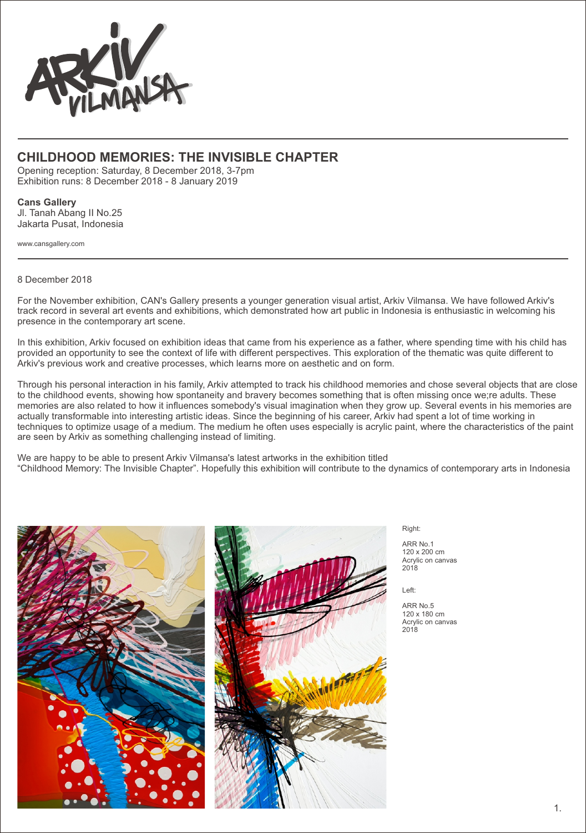

## **CHILDHOOD MEMORIES: THE INVISIBLE CHAPTER**

Opening reception: Saturday, 8 December 2018, 3-7pm Exhibition runs: 8 December 2018 - 8 January 2019

## **Cans Gallery**

Jl. Tanah Abang II No.25 Jakarta Pusat, Indonesia

www.cansgallery.com

8 December 2018

For the November exhibition, CAN's Gallery presents a younger generation visual artist, Arkiv Vilmansa. We have followed Arkiv's track record in several art events and exhibitions, which demonstrated how art public in Indonesia is enthusiastic in welcoming his presence in the contemporary art scene.

In this exhibition, Arkiv focused on exhibition ideas that came from his experience as a father, where spending time with his child has provided an opportunity to see the context of life with different perspectives. This exploration of the thematic was quite different to Arkiv's previous work and creative processes, which learns more on aesthetic and on form.

Through his personal interaction in his family, Arkiv attempted to track his childhood memories and chose several objects that are close to the childhood events, showing how spontaneity and bravery becomes something that is often missing once we;re adults. These memories are also related to how it influences somebody's visual imagination when they grow up. Several events in his memories are actually transformable into interesting artistic ideas. Since the beginning of his career, Arkiv had spent a lot of time working in techniques to optimize usage of a medium. The medium he often uses especially is acrylic paint, where the characteristics of the paint are seen by Arkiv as something challenging instead of limiting.

We are happy to be able to present Arkiv Vilmansa's latest artworks in the exhibition titled "Childhood Memory: The Invisible Chapter". Hopefully this exhibition will contribute to the dynamics of contemporary arts in Indonesia





Right:

ARR No.1 120 x 200 cm Acrylic on canvas  $2018$ 

Left:

ARR No.5 120 x 180 cm Acrylic on canvas  $2018$